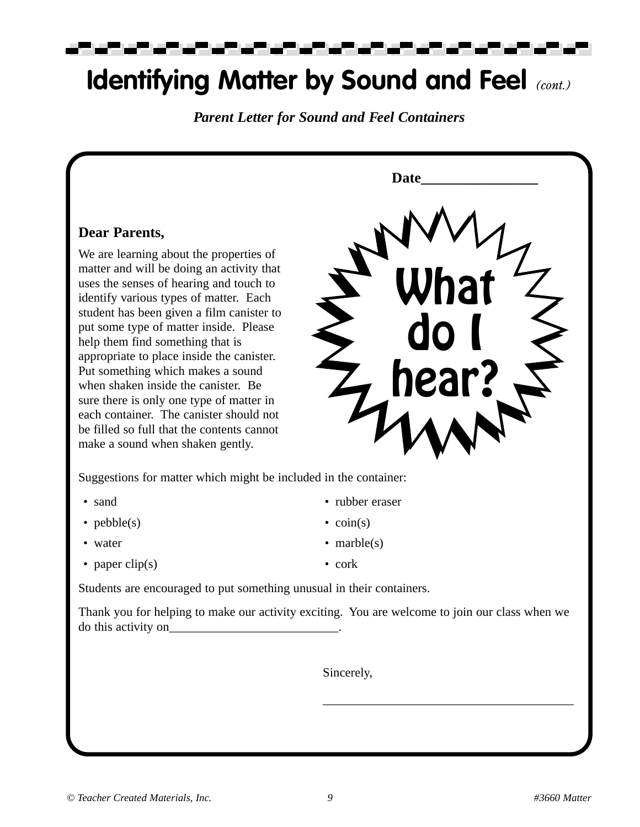▄▀

### **Identifying Matter by Sound and Feel** *(cont.)*

*Parent Letter for Sound and Feel Containers*

#### **Dear Parents,**

We are learning about the properties of matter and will be doing an activity that uses the senses of hearing and touch to identify various types of matter. Each student has been given a film canister to put some type of matter inside. Please help them find something that is appropriate to place inside the canister. Put something which makes a sound when shaken inside the canister. Be sure there is only one type of matter in each container. The canister should not be filled so full that the contents cannot make a sound when shaken gently.



\_\_\_\_\_\_\_\_\_\_\_\_\_\_\_\_\_\_\_\_\_\_\_\_\_\_\_\_\_\_\_\_\_\_\_\_\_\_\_\_

Suggestions for matter which might be included in the container:

- 
- $pebble(s)$   $\operatorname{coin}(s)$
- 
- 
- sand rubber eraser
	-
- water marble(s)
- paper clip(s) cork

Students are encouraged to put something unusual in their containers.

Thank you for helping to make our activity exciting. You are welcome to join our class when we do this activity on\_\_\_\_\_\_\_\_\_\_\_\_\_\_\_\_\_\_\_\_\_\_\_\_\_\_\_.

Sincerely,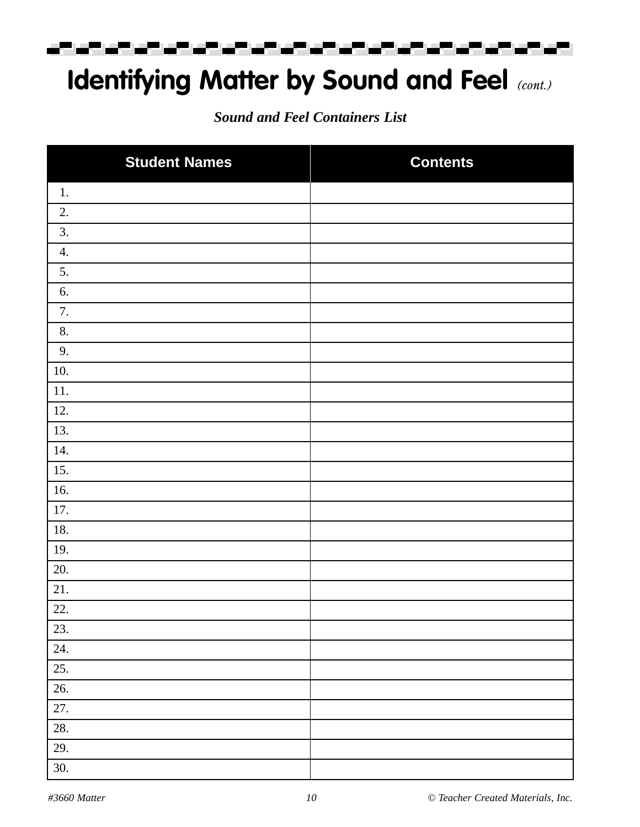ಮಾರ್ ಮಾಡಿದ التواريخ والمراجع والمراكب والمستعمل المستعمل المستعملات

## **Identifying Matter by Sound and Feel** *(cont.)*

*Sound and Feel Containers List*

| <b>Student Names</b> | <b>Contents</b> |
|----------------------|-----------------|
| 1.                   |                 |
| 2.                   |                 |
| 3.                   |                 |
| 4.                   |                 |
| 5.                   |                 |
| 6.                   |                 |
| 7.                   |                 |
| 8.                   |                 |
| 9.                   |                 |
| 10.                  |                 |
| 11.                  |                 |
| 12.                  |                 |
| 13.                  |                 |
| 14.                  |                 |
| 15.                  |                 |
| 16.                  |                 |
| 17.                  |                 |
| 18.                  |                 |
| 19.                  |                 |
| 20.                  |                 |
| $21.$                |                 |
| 22.                  |                 |
| 23.                  |                 |
| 24.                  |                 |
| 25.                  |                 |
| 26.                  |                 |
| $27. \,$             |                 |
| 28.                  |                 |
| 29.                  |                 |
| 30.                  |                 |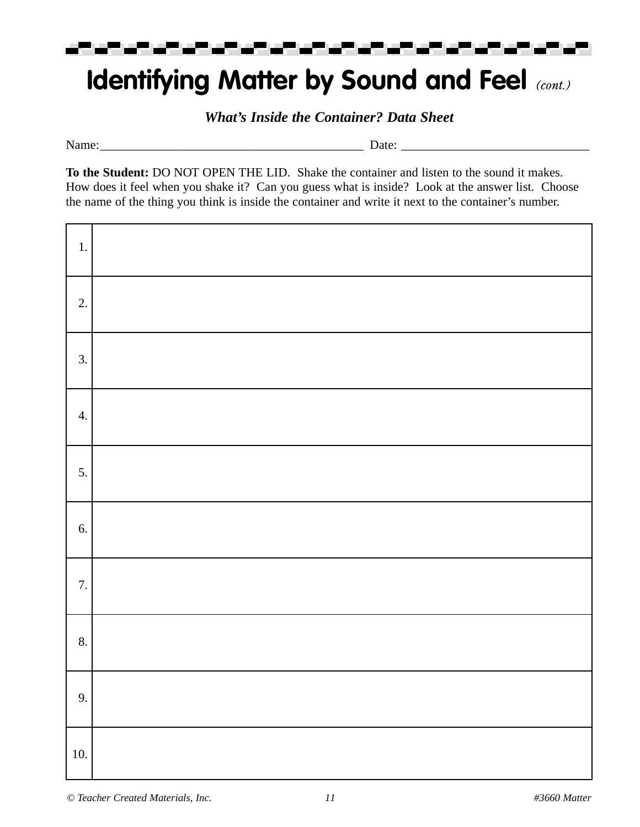

### **Identifying Matter by Sound and Feel** *(cont.)*

*What's Inside the Container? Data Sheet*

Name:\_\_\_\_\_\_\_\_\_\_\_\_\_\_\_\_\_\_\_\_\_\_\_\_\_\_\_\_\_\_\_\_\_\_\_\_\_\_\_\_\_\_ Date: \_\_\_\_\_\_\_\_\_\_\_\_\_\_\_\_\_\_\_\_\_\_\_\_\_\_\_\_\_\_

**To the Student:** DO NOT OPEN THE LID. Shake the container and listen to the sound it makes. How does it feel when you shake it? Can you guess what is inside? Look at the answer list. Choose the name of the thing you think is inside the container and write it next to the container's number.

| $1.$             |  |
|------------------|--|
| 2.               |  |
| 3.               |  |
| $\overline{4}$ . |  |
| 5.               |  |
| 6.               |  |
| 7.               |  |
| 8.               |  |
| 9.               |  |
| 10.              |  |